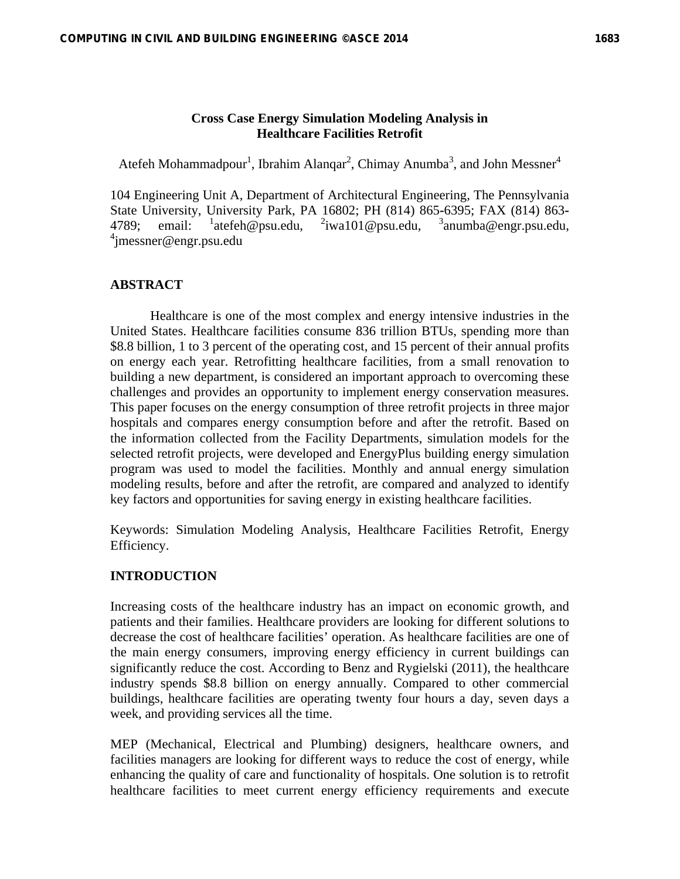### **Cross Case Energy Simulation Modeling Analysis in Healthcare Facilities Retrofit**

Atefeh Mohammadpour<sup>1</sup>, Ibrahim Alanqar<sup>2</sup>, Chimay Anumba<sup>3</sup>, and John Messner<sup>4</sup>

104 Engineering Unit A, Department of Architectural Engineering, The Pennsylvania State University, University Park, PA 16802; PH (814) 865**-**6395; FAX (814) 863**-** 4789; email:  $\frac{1}{2}$  atefeh@psu.edu,  $\frac{2}{2}$  iwa101@psu.edu,  $\frac{3}{2}$  anumba@engr.psu.edu, 4 jmessner@engr.psu.edu

## **ABSTRACT**

Healthcare is one of the most complex and energy intensive industries in the United States. Healthcare facilities consume 836 trillion BTUs, spending more than \$8.8 billion, 1 to 3 percent of the operating cost, and 15 percent of their annual profits on energy each year. Retrofitting healthcare facilities, from a small renovation to building a new department, is considered an important approach to overcoming these challenges and provides an opportunity to implement energy conservation measures. This paper focuses on the energy consumption of three retrofit projects in three major hospitals and compares energy consumption before and after the retrofit. Based on the information collected from the Facility Departments, simulation models for the selected retrofit projects, were developed and EnergyPlus building energy simulation program was used to model the facilities. Monthly and annual energy simulation modeling results, before and after the retrofit, are compared and analyzed to identify key factors and opportunities for saving energy in existing healthcare facilities.

Keywords: Simulation Modeling Analysis, Healthcare Facilities Retrofit, Energy Efficiency.

#### **INTRODUCTION**

Increasing costs of the healthcare industry has an impact on economic growth, and patients and their families. Healthcare providers are looking for different solutions to decrease the cost of healthcare facilities' operation. As healthcare facilities are one of the main energy consumers, improving energy efficiency in current buildings can significantly reduce the cost. According to Benz and Rygielski (2011), the healthcare industry spends \$8.8 billion on energy annually. Compared to other commercial buildings, healthcare facilities are operating twenty four hours a day, seven days a week, and providing services all the time.

MEP (Mechanical, Electrical and Plumbing) designers, healthcare owners, and facilities managers are looking for different ways to reduce the cost of energy, while enhancing the quality of care and functionality of hospitals. One solution is to retrofit healthcare facilities to meet current energy efficiency requirements and execute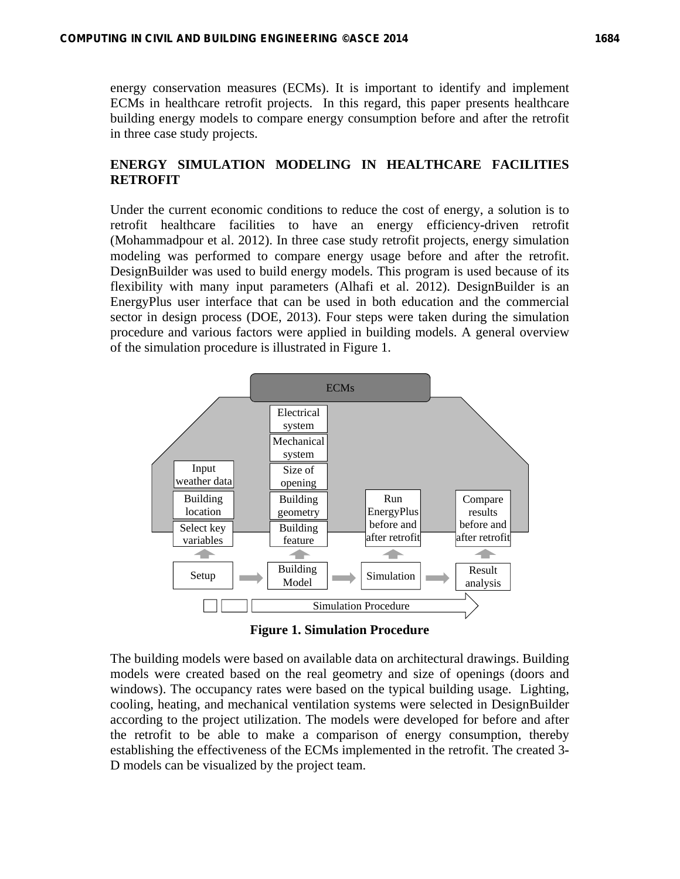energy conservation measures (ECMs). It is important to identify and implement ECMs in healthcare retrofit projects. In this regard, this paper presents healthcare building energy models to compare energy consumption before and after the retrofit in three case study projects.

# **ENERGY SIMULATION MODELING IN HEALTHCARE FACILITIES RETROFIT**

Under the current economic conditions to reduce the cost of energy, a solution is to retrofit healthcare facilities to have an energy efficiency**-**driven retrofit (Mohammadpour et al. 2012). In three case study retrofit projects, energy simulation modeling was performed to compare energy usage before and after the retrofit. DesignBuilder was used to build energy models. This program is used because of its flexibility with many input parameters (Alhafi et al. 2012). DesignBuilder is an EnergyPlus user interface that can be used in both education and the commercial sector in design process (DOE, 2013). Four steps were taken during the simulation procedure and various factors were applied in building models. A general overview of the simulation procedure is illustrated in Figure 1.



**Figure 1. Simulation Procedure** 

The building models were based on available data on architectural drawings. Building models were created based on the real geometry and size of openings (doors and windows). The occupancy rates were based on the typical building usage. Lighting, cooling, heating, and mechanical ventilation systems were selected in DesignBuilder according to the project utilization. The models were developed for before and after the retrofit to be able to make a comparison of energy consumption, thereby establishing the effectiveness of the ECMs implemented in the retrofit. The created 3**-** D models can be visualized by the project team.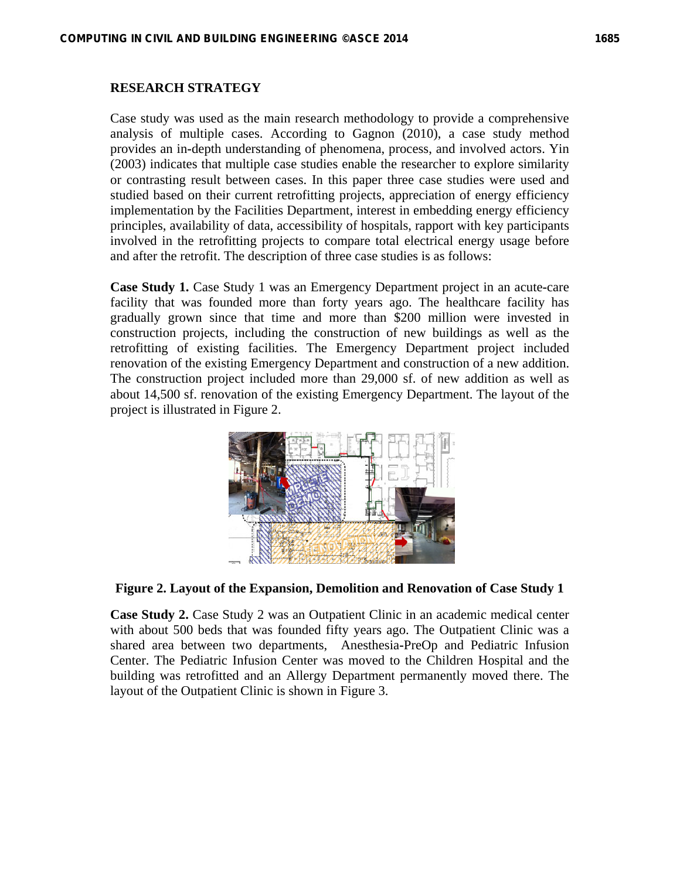#### **RESEARCH STRATEGY**

Case study was used as the main research methodology to provide a comprehensive analysis of multiple cases. According to Gagnon (2010), a case study method provides an in**-**depth understanding of phenomena, process, and involved actors. Yin (2003) indicates that multiple case studies enable the researcher to explore similarity or contrasting result between cases. In this paper three case studies were used and studied based on their current retrofitting projects, appreciation of energy efficiency implementation by the Facilities Department, interest in embedding energy efficiency principles, availability of data, accessibility of hospitals, rapport with key participants involved in the retrofitting projects to compare total electrical energy usage before and after the retrofit. The description of three case studies is as follows:

**Case Study 1.** Case Study 1 was an Emergency Department project in an acute**-**care facility that was founded more than forty years ago. The healthcare facility has gradually grown since that time and more than \$200 million were invested in construction projects, including the construction of new buildings as well as the retrofitting of existing facilities. The Emergency Department project included renovation of the existing Emergency Department and construction of a new addition. The construction project included more than 29,000 sf. of new addition as well as about 14,500 sf. renovation of the existing Emergency Department. The layout of the project is illustrated in Figure 2.



**Figure 2. Layout of the Expansion, Demolition and Renovation of Case Study 1** 

**Case Study 2.** Case Study 2 was an Outpatient Clinic in an academic medical center with about 500 beds that was founded fifty years ago. The Outpatient Clinic was a shared area between two departments, Anesthesia**-**PreOp and Pediatric Infusion Center. The Pediatric Infusion Center was moved to the Children Hospital and the building was retrofitted and an Allergy Department permanently moved there. The layout of the Outpatient Clinic is shown in Figure 3.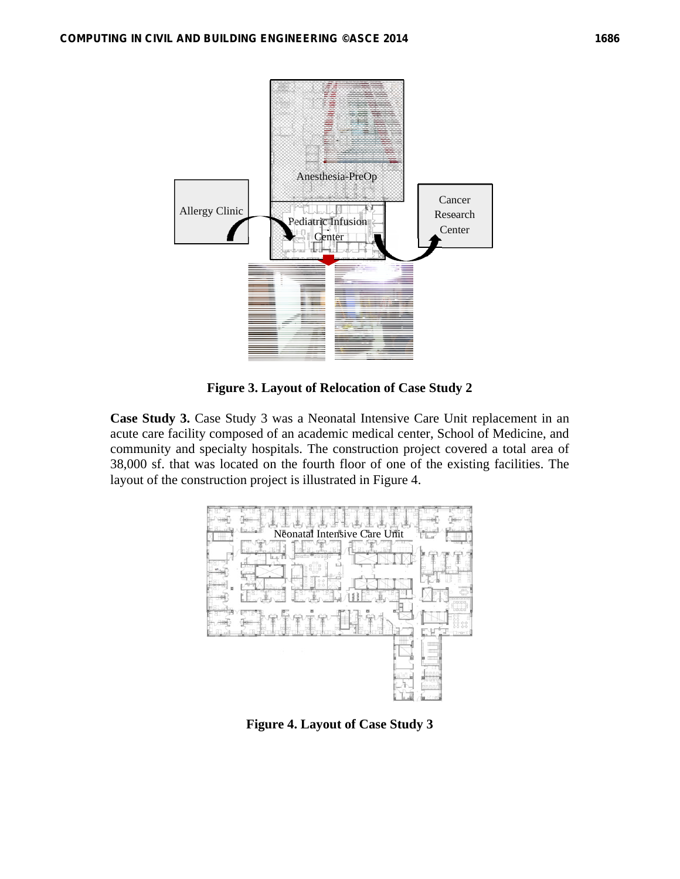

**Figure 3. Layout of Relocation of Case Study 2** 

**Case Study 3.** Case Study 3 was a Neonatal Intensive Care Unit replacement in an acute care facility composed of an academic medical center, School of Medicine, and community and specialty hospitals. The construction project covered a total area of 38,000 sf. that was located on the fourth floor of one of the existing facilities. The layout of the construction project is illustrated in Figure 4.



**Figure 4. Layout of Case Study 3**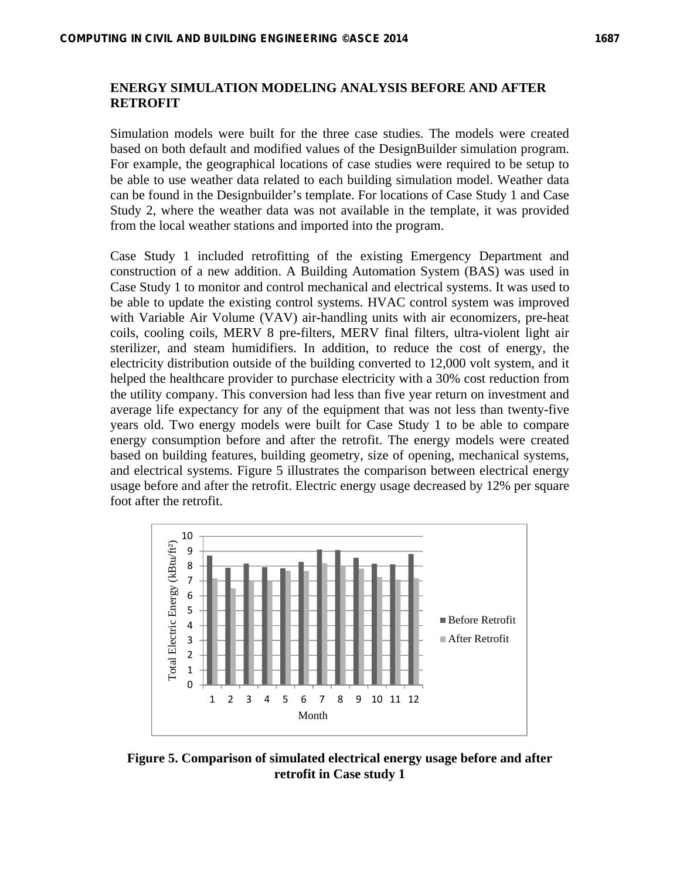Simulation models were built for the three case studies. The models were created based on both default and modified values of the DesignBuilder simulation program. For example, the geographical locations of case studies were required to be setup to be able to use weather data related to each building simulation model. Weather data can be found in the Designbuilder's template. For locations of Case Study 1 and Case Study 2, where the weather data was not available in the template, it was provided from the local weather stations and imported into the program.

Case Study 1 included retrofitting of the existing Emergency Department and construction of a new addition. A Building Automation System (BAS) was used in Case Study 1 to monitor and control mechanical and electrical systems. It was used to be able to update the existing control systems. HVAC control system was improved with Variable Air Volume (VAV) air**-**handling units with air economizers, pre**-**heat coils, cooling coils, MERV 8 pre**-**filters, MERV final filters, ultra**-**violent light air sterilizer, and steam humidifiers. In addition, to reduce the cost of energy, the electricity distribution outside of the building converted to 12,000 volt system, and it helped the healthcare provider to purchase electricity with a 30% cost reduction from the utility company. This conversion had less than five year return on investment and average life expectancy for any of the equipment that was not less than twenty**-**five years old. Two energy models were built for Case Study 1 to be able to compare energy consumption before and after the retrofit. The energy models were created based on building features, building geometry, size of opening, mechanical systems, and electrical systems. Figure 5 illustrates the comparison between electrical energy usage before and after the retrofit. Electric energy usage decreased by 12% per square foot after the retrofit.



**Figure 5. Comparison of simulated electrical energy usage before and after retrofit in Case study 1**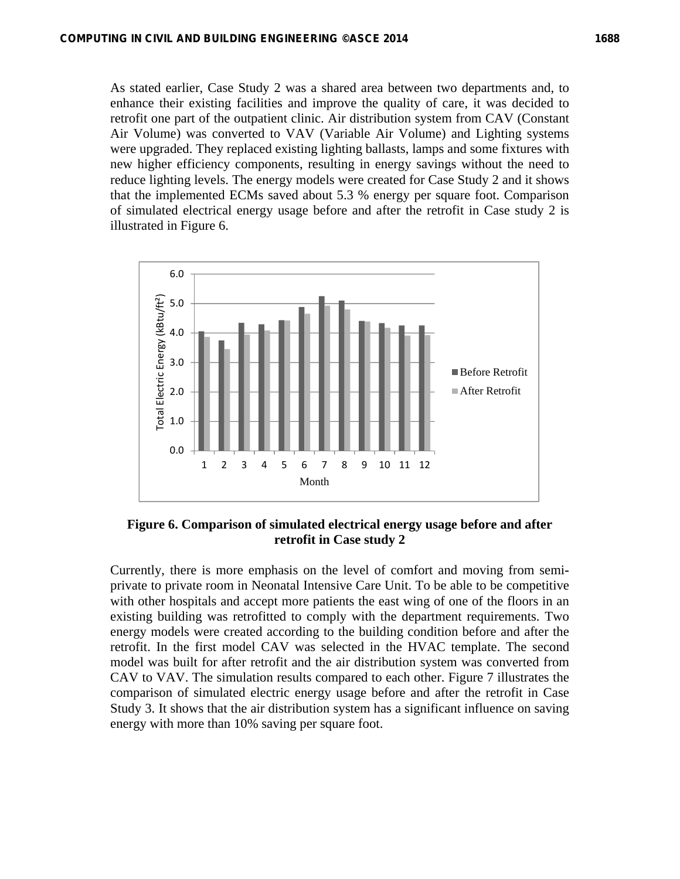As stated earlier, Case Study 2 was a shared area between two departments and, to enhance their existing facilities and improve the quality of care, it was decided to retrofit one part of the outpatient clinic. Air distribution system from CAV (Constant Air Volume) was converted to VAV (Variable Air Volume) and Lighting systems were upgraded. They replaced existing lighting ballasts, lamps and some fixtures with new higher efficiency components, resulting in energy savings without the need to reduce lighting levels. The energy models were created for Case Study 2 and it shows that the implemented ECMs saved about 5.3 % energy per square foot. Comparison of simulated electrical energy usage before and after the retrofit in Case study 2 is illustrated in Figure 6.



**Figure 6. Comparison of simulated electrical energy usage before and after retrofit in Case study 2** 

Currently, there is more emphasis on the level of comfort and moving from semiprivate to private room in Neonatal Intensive Care Unit. To be able to be competitive with other hospitals and accept more patients the east wing of one of the floors in an existing building was retrofitted to comply with the department requirements. Two energy models were created according to the building condition before and after the retrofit. In the first model CAV was selected in the HVAC template. The second model was built for after retrofit and the air distribution system was converted from CAV to VAV. The simulation results compared to each other. Figure 7 illustrates the comparison of simulated electric energy usage before and after the retrofit in Case Study 3. It shows that the air distribution system has a significant influence on saving energy with more than 10% saving per square foot.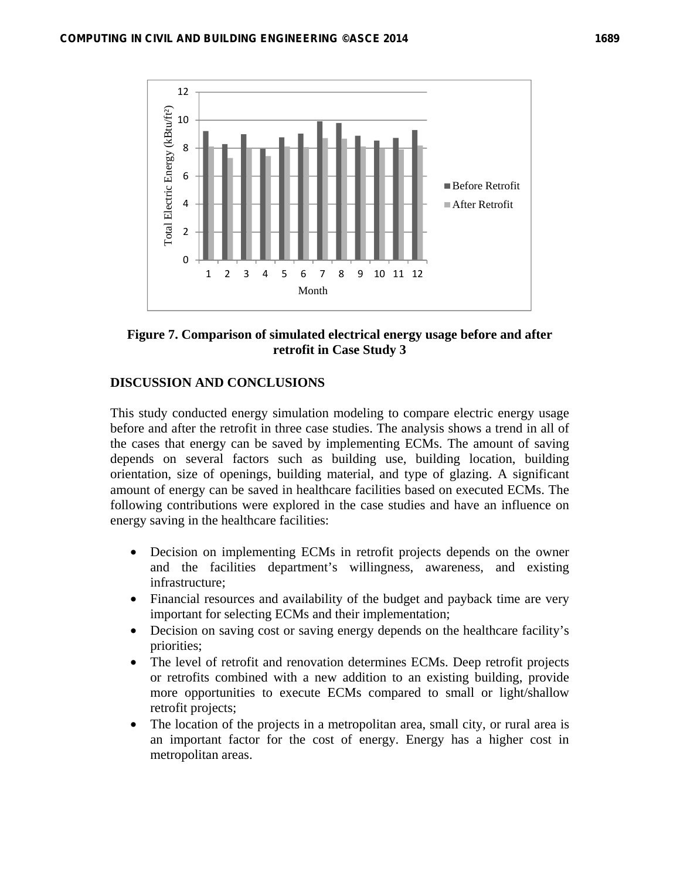

**Figure 7. Comparison of simulated electrical energy usage before and after retrofit in Case Study 3** 

# **DISCUSSION AND CONCLUSIONS**

This study conducted energy simulation modeling to compare electric energy usage before and after the retrofit in three case studies. The analysis shows a trend in all of the cases that energy can be saved by implementing ECMs. The amount of saving depends on several factors such as building use, building location, building orientation, size of openings, building material, and type of glazing. A significant amount of energy can be saved in healthcare facilities based on executed ECMs. The following contributions were explored in the case studies and have an influence on energy saving in the healthcare facilities:

- Decision on implementing ECMs in retrofit projects depends on the owner and the facilities department's willingness, awareness, and existing infrastructure;
- Financial resources and availability of the budget and payback time are very important for selecting ECMs and their implementation;
- Decision on saving cost or saving energy depends on the healthcare facility's priorities;
- The level of retrofit and renovation determines ECMs. Deep retrofit projects or retrofits combined with a new addition to an existing building, provide more opportunities to execute ECMs compared to small or light/shallow retrofit projects;
- The location of the projects in a metropolitan area, small city, or rural area is an important factor for the cost of energy. Energy has a higher cost in metropolitan areas.